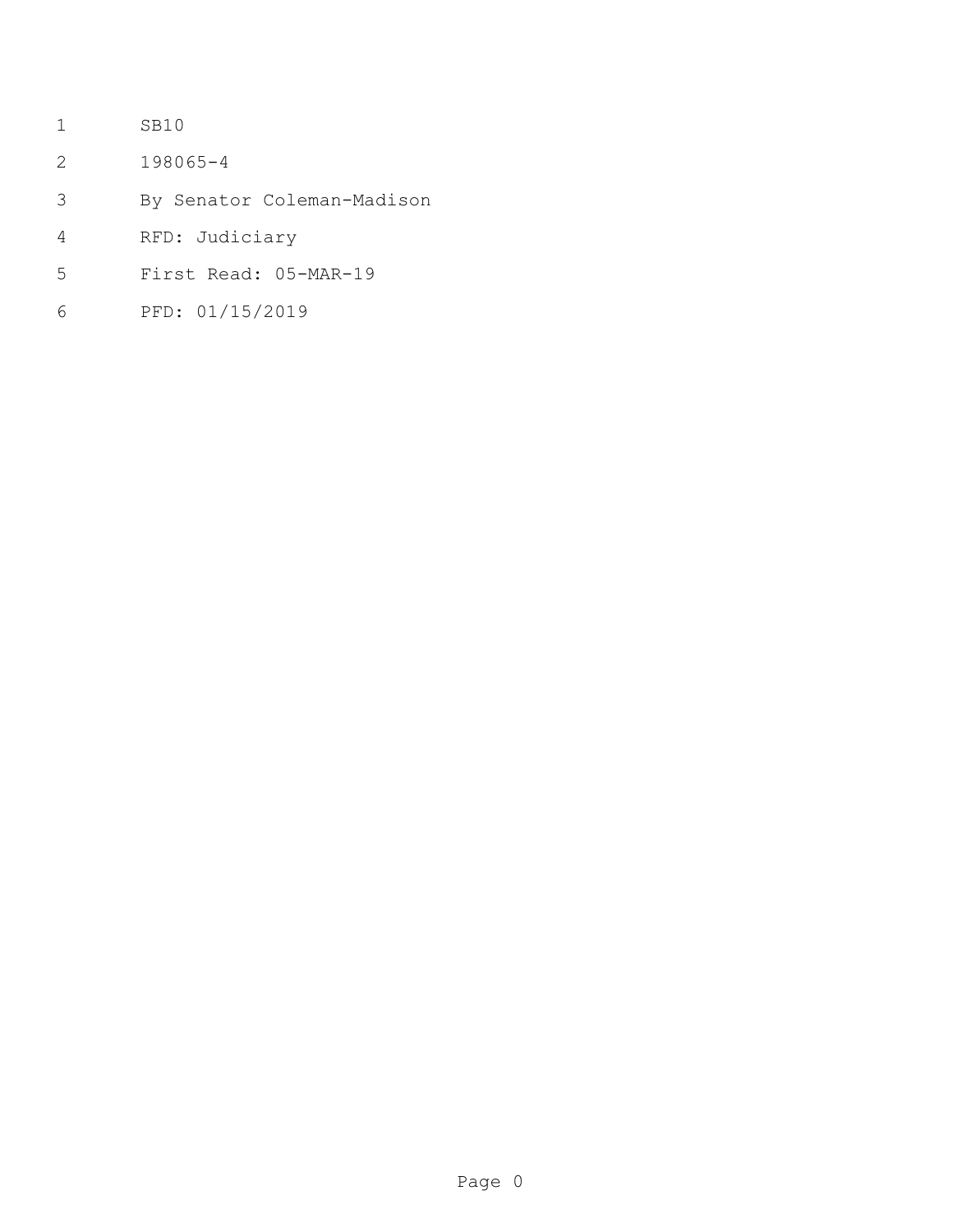- SB10
- 198065-4
- By Senator Coleman-Madison
- RFD: Judiciary
- First Read: 05-MAR-19
- PFD: 01/15/2019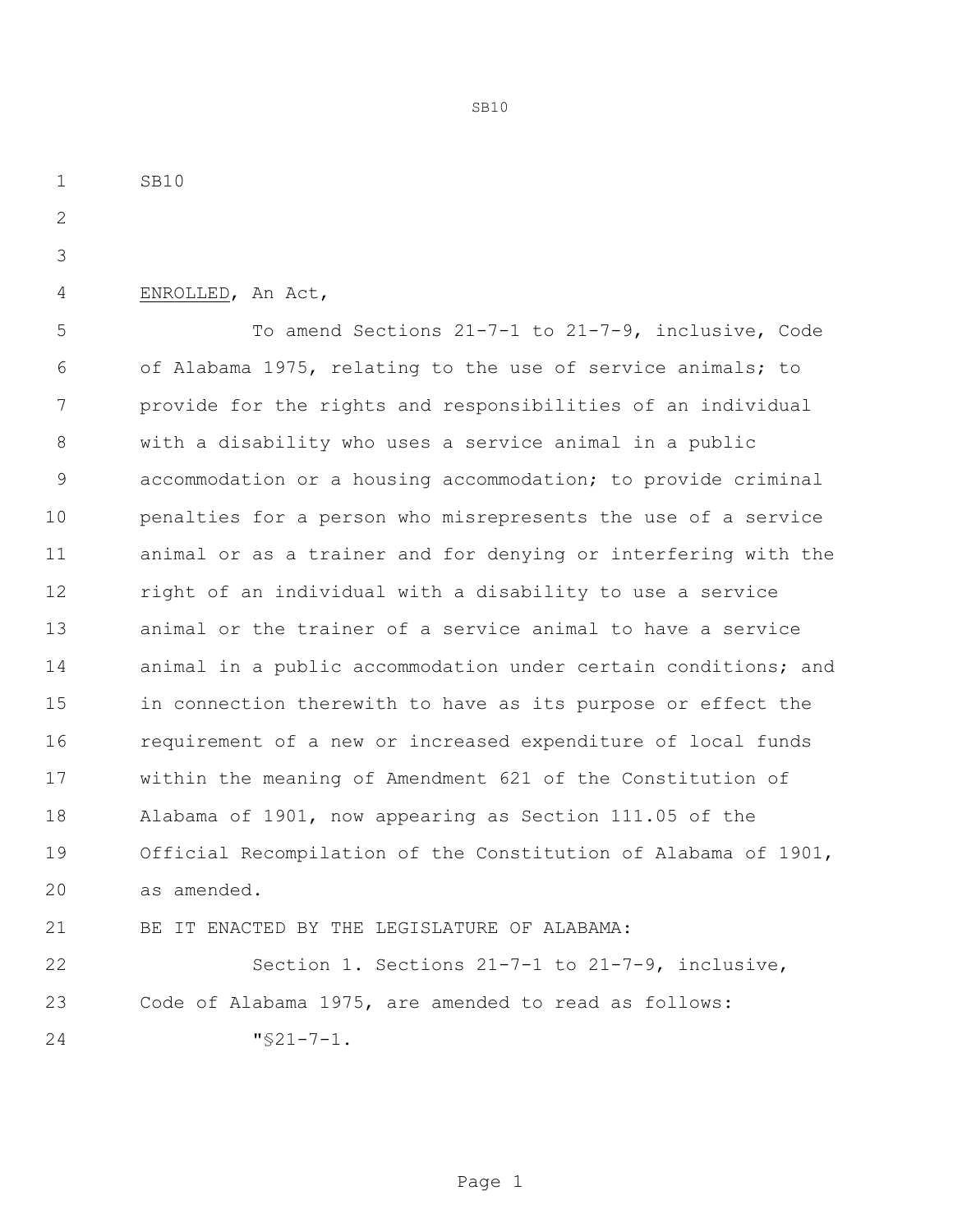SB10 ENROLLED, An Act, To amend Sections 21-7-1 to 21-7-9, inclusive, Code of Alabama 1975, relating to the use of service animals; to provide for the rights and responsibilities of an individual with a disability who uses a service animal in a public accommodation or a housing accommodation; to provide criminal penalties for a person who misrepresents the use of a service animal or as a trainer and for denying or interfering with the right of an individual with a disability to use a service animal or the trainer of a service animal to have a service 14 animal in a public accommodation under certain conditions; and in connection therewith to have as its purpose or effect the requirement of a new or increased expenditure of local funds within the meaning of Amendment 621 of the Constitution of Alabama of 1901, now appearing as Section 111.05 of the Official Recompilation of the Constitution of Alabama of 1901, as amended. BE IT ENACTED BY THE LEGISLATURE OF ALABAMA: Section 1. Sections 21-7-1 to 21-7-9, inclusive, Code of Alabama 1975, are amended to read as follows: "§21-7-1.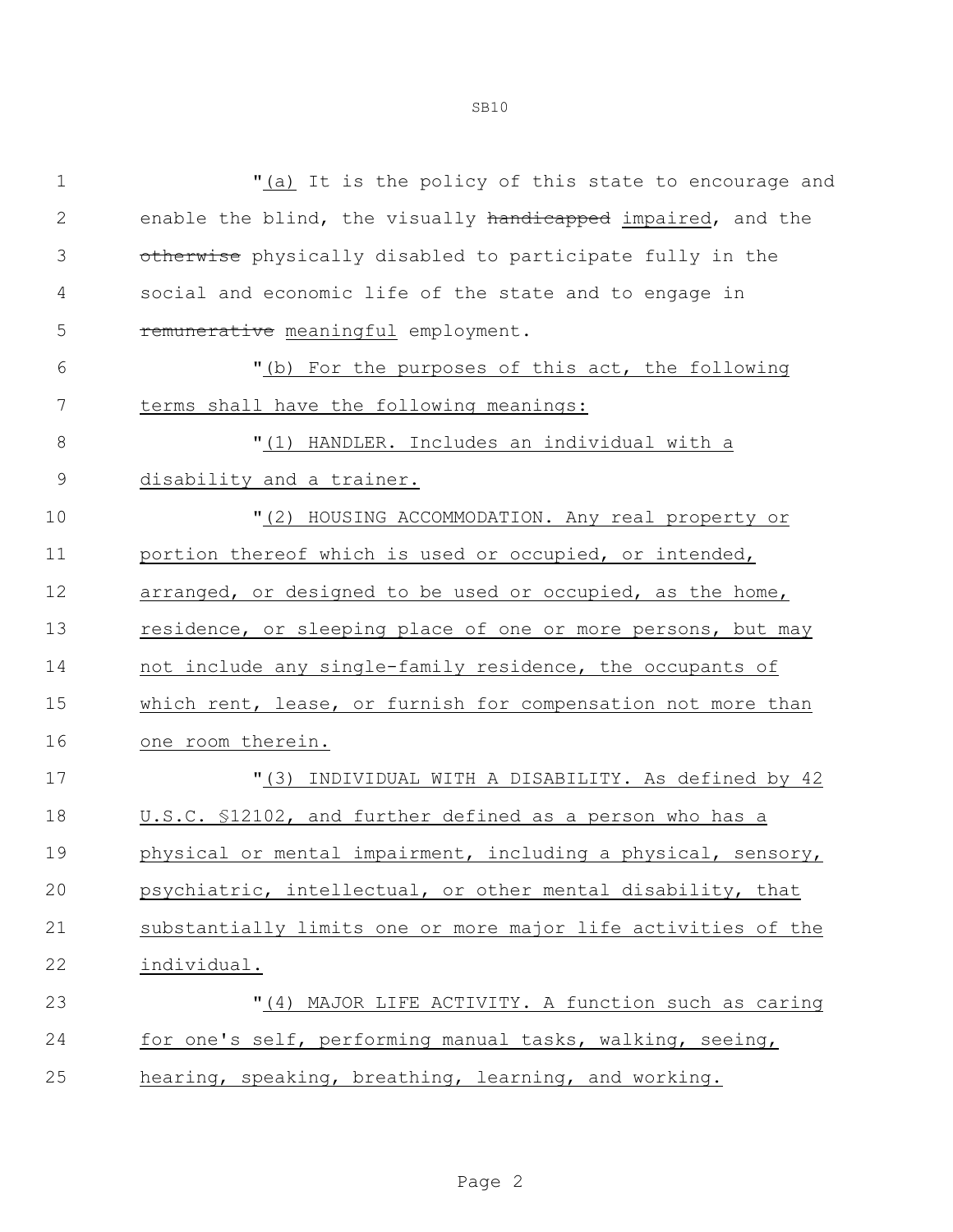| 1            | "(a) It is the policy of this state to encourage and          |
|--------------|---------------------------------------------------------------|
| $\mathbf{2}$ | enable the blind, the visually handicapped impaired, and the  |
| 3            | otherwise physically disabled to participate fully in the     |
| 4            | social and economic life of the state and to engage in        |
| 5            | remunerative meaningful employment.                           |
| 6            | "(b) For the purposes of this act, the following              |
| 7            | terms shall have the following meanings:                      |
| 8            | "(1) HANDLER. Includes an individual with a                   |
| 9            | disability and a trainer.                                     |
| 10           | "(2) HOUSING ACCOMMODATION. Any real property or              |
| 11           | portion thereof which is used or occupied, or intended,       |
| 12           | arranged, or designed to be used or occupied, as the home,    |
| 13           | residence, or sleeping place of one or more persons, but may  |
| 14           | not include any single-family residence, the occupants of     |
| 15           | which rent, lease, or furnish for compensation not more than  |
| 16           | one room therein.                                             |
| 17           | "(3) INDIVIDUAL WITH A DISABILITY. As defined by 42           |
| 18           | U.S.C. \$12102, and further defined as a person who has a     |
| 19           | physical or mental impairment, including a physical, sensory, |
| 20           | psychiatric, intellectual, or other mental disability, that   |
| 21           | substantially limits one or more major life activities of the |
| 22           | individual.                                                   |
| 23           | "(4) MAJOR LIFE ACTIVITY. A function such as caring           |
| 24           | for one's self, performing manual tasks, walking, seeing,     |
| 25           | hearing, speaking, breathing, learning, and working.          |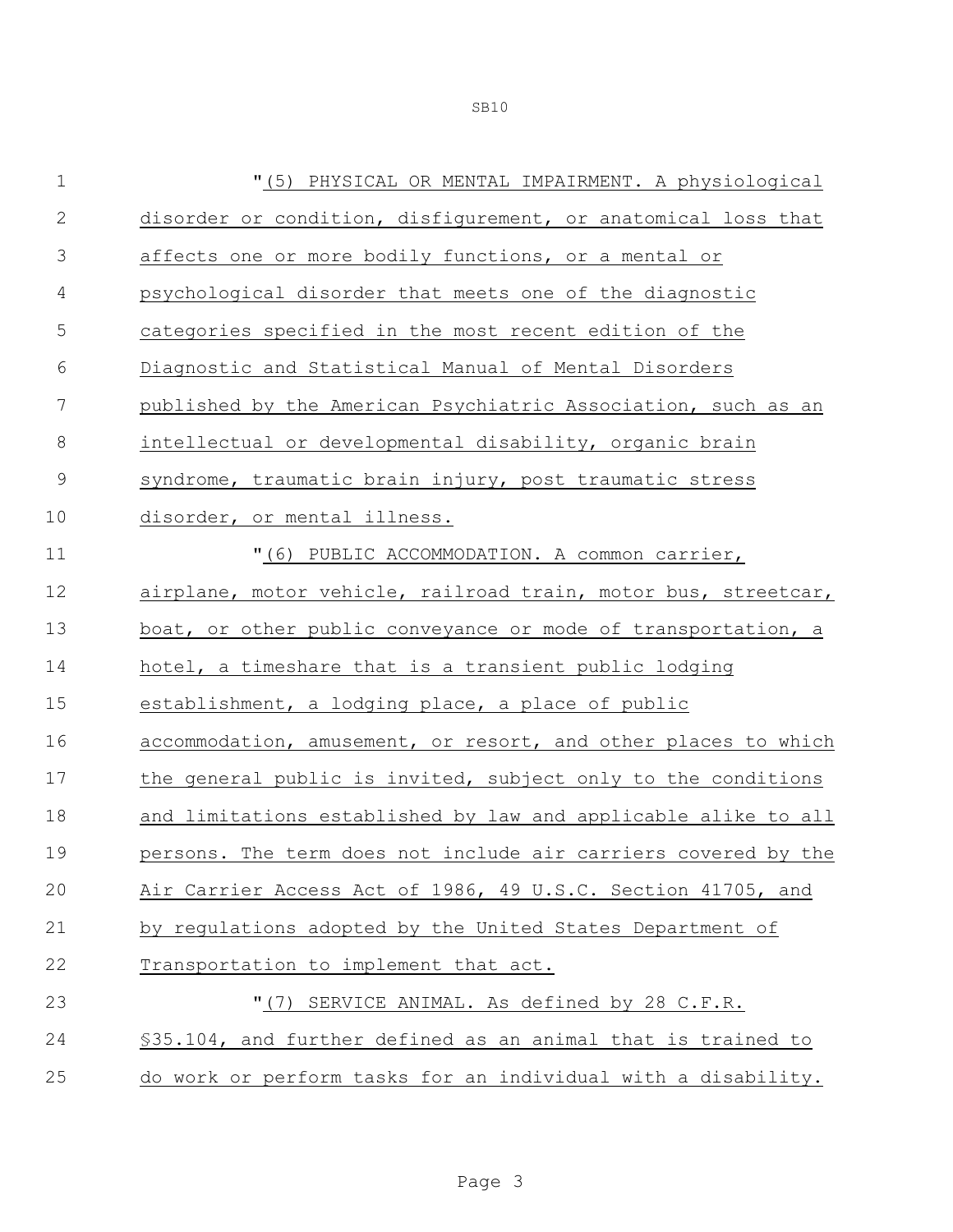| $1\,$          | "(5) PHYSICAL OR MENTAL IMPAIRMENT. A physiological            |
|----------------|----------------------------------------------------------------|
| $\mathbf 2$    | disorder or condition, disfigurement, or anatomical loss that  |
| $\mathfrak{Z}$ | affects one or more bodily functions, or a mental or           |
| 4              | psychological disorder that meets one of the diagnostic        |
| 5              | categories specified in the most recent edition of the         |
| 6              | Diagnostic and Statistical Manual of Mental Disorders          |
| 7              | published by the American Psychiatric Association, such as an  |
| 8              | intellectual or developmental disability, organic brain        |
| $\mathcal{G}$  | syndrome, traumatic brain injury, post traumatic stress        |
| 10             | disorder, or mental illness.                                   |
| 11             | "(6) PUBLIC ACCOMMODATION. A common carrier,                   |
| 12             | airplane, motor vehicle, railroad train, motor bus, streetcar, |
| 13             | boat, or other public conveyance or mode of transportation, a  |
| 14             | hotel, a timeshare that is a transient public lodging          |
| 15             | establishment, a lodging place, a place of public              |
| 16             | accommodation, amusement, or resort, and other places to which |
| 17             | the general public is invited, subject only to the conditions  |
| 18             | and limitations established by law and applicable alike to all |
| 19             | persons. The term does not include air carriers covered by the |
| 20             | Air Carrier Access Act of 1986, 49 U.S.C. Section 41705, and   |
| 21             | by regulations adopted by the United States Department of      |
| 22             | Transportation to implement that act.                          |
| 23             | "(7) SERVICE ANIMAL. As defined by 28 C.F.R.                   |
| 24             | \$35.104, and further defined as an animal that is trained to  |
| 25             | do work or perform tasks for an individual with a disability.  |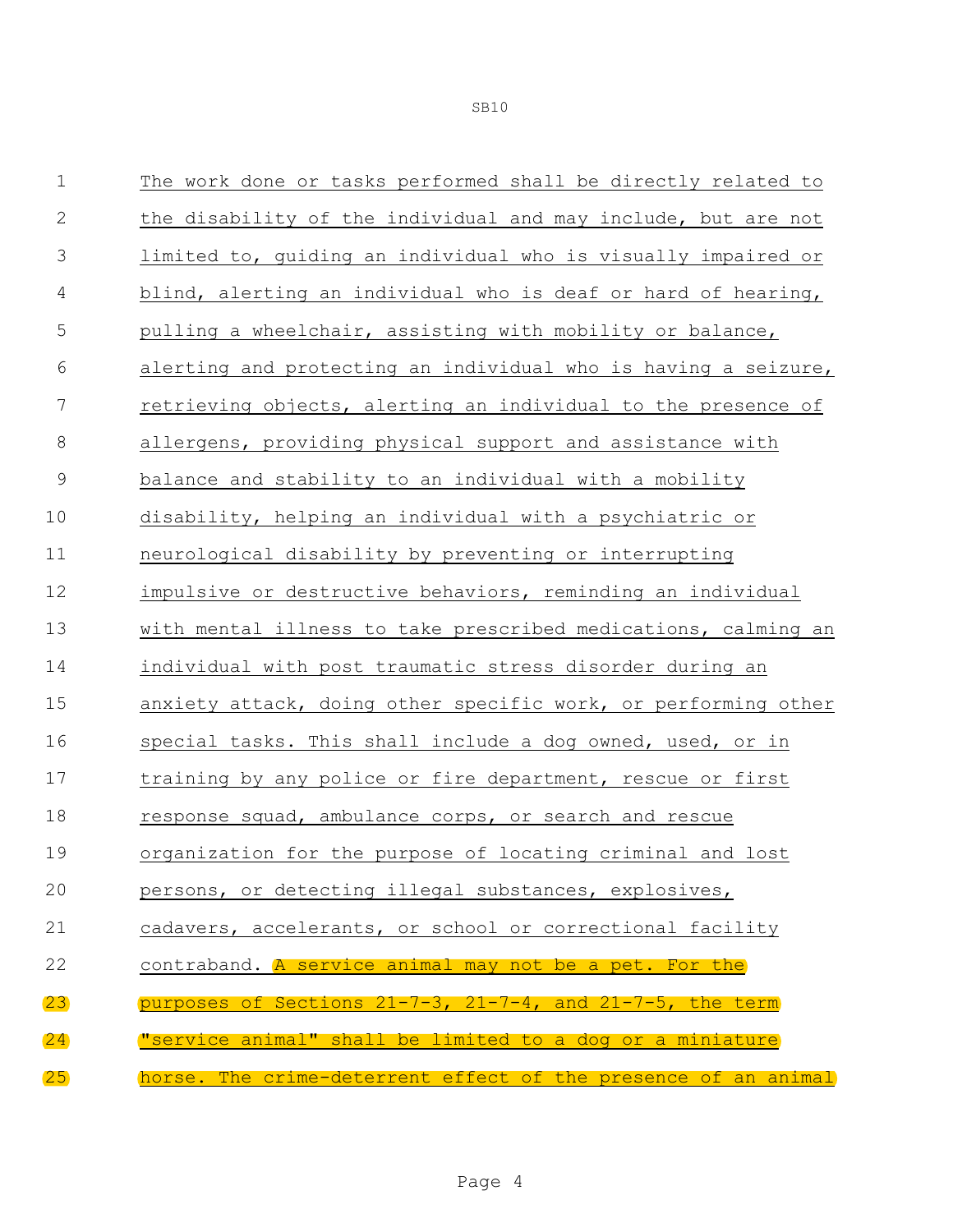| $\mathbf 1$   | The work done or tasks performed shall be directly related to      |
|---------------|--------------------------------------------------------------------|
| $\mathbf 2$   | the disability of the individual and may include, but are not      |
| 3             | limited to, guiding an individual who is visually impaired or      |
| 4             | blind, alerting an individual who is deaf or hard of hearing,      |
| 5             | pulling a wheelchair, assisting with mobility or balance,          |
| 6             | alerting and protecting an individual who is having a seizure,     |
| 7             | retrieving objects, alerting an individual to the presence of      |
| $\,8\,$       | allergens, providing physical support and assistance with          |
| $\mathcal{G}$ | balance and stability to an individual with a mobility             |
| 10            | disability, helping an individual with a psychiatric or            |
| 11            | neurological disability by preventing or interrupting              |
| 12            | impulsive or destructive behaviors, reminding an individual        |
| 13            | with mental illness to take prescribed medications, calming an     |
| 14            | individual with post traumatic stress disorder during an           |
| 15            | anxiety attack, doing other specific work, or performing other     |
| 16            | special tasks. This shall include a dog owned, used, or in         |
| 17            | training by any police or fire department, rescue or first         |
| 18            | response squad, ambulance corps, or search and rescue              |
| 19            | organization for the purpose of locating criminal and lost         |
| 20            | persons, or detecting illegal substances, explosives,              |
| 21            | cadavers, accelerants, or school or correctional facility          |
| 22            | contraband. A service animal may not be a pet. For the             |
| (23)          | purposes of Sections $21-7-3$ , $21-7-4$ , and $21-7-5$ , the term |
| 24            | "service animal" shall be limited to a dog or a miniature          |
| (25)          | horse. The crime-deterrent effect of the presence of an animal     |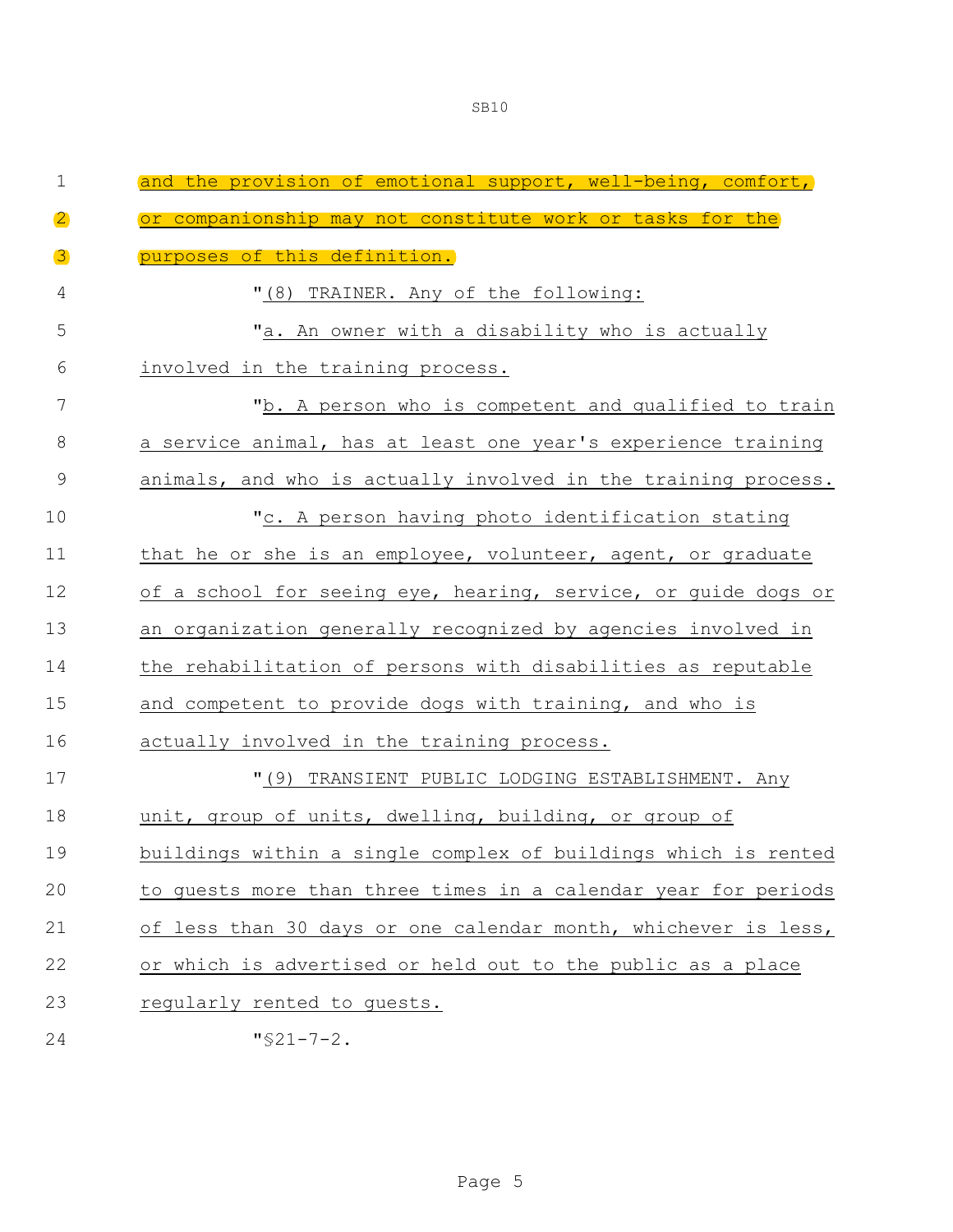| $\mathbf 1$    | the provision of emotional support, well-being, comfort,<br>and |
|----------------|-----------------------------------------------------------------|
| $\overline{2}$ | or companionship may not constitute work or tasks for the       |
| $\mathbf{B}$   | purposes of this definition.                                    |
| 4              | "(8) TRAINER. Any of the following:                             |
| 5              | "a. An owner with a disability who is actually                  |
| 6              | involved in the training process.                               |
| 7              | "b. A person who is competent and qualified to train            |
| 8              | a service animal, has at least one year's experience training   |
| 9              | animals, and who is actually involved in the training process.  |
| 10             | "c. A person having photo identification stating                |
| 11             | that he or she is an employee, volunteer, agent, or graduate    |
| 12             | of a school for seeing eye, hearing, service, or guide dogs or  |
| 13             | an organization generally recognized by agencies involved in    |
| 14             | the rehabilitation of persons with disabilities as reputable    |
| 15             | and competent to provide dogs with training, and who is         |
| 16             | actually involved in the training process.                      |
| 17             | "(9) TRANSIENT PUBLIC LODGING ESTABLISHMENT. Any                |
| 18             | unit, group of units, dwelling, building, or group of           |
| 19             | buildings within a single complex of buildings which is rented  |
| 20             | to guests more than three times in a calendar year for periods  |
| 21             | of less than 30 days or one calendar month, whichever is less,  |
| 22             | or which is advertised or held out to the public as a place     |
| 23             | regularly rented to guests.                                     |
| 24             | $"$ \$21-7-2.                                                   |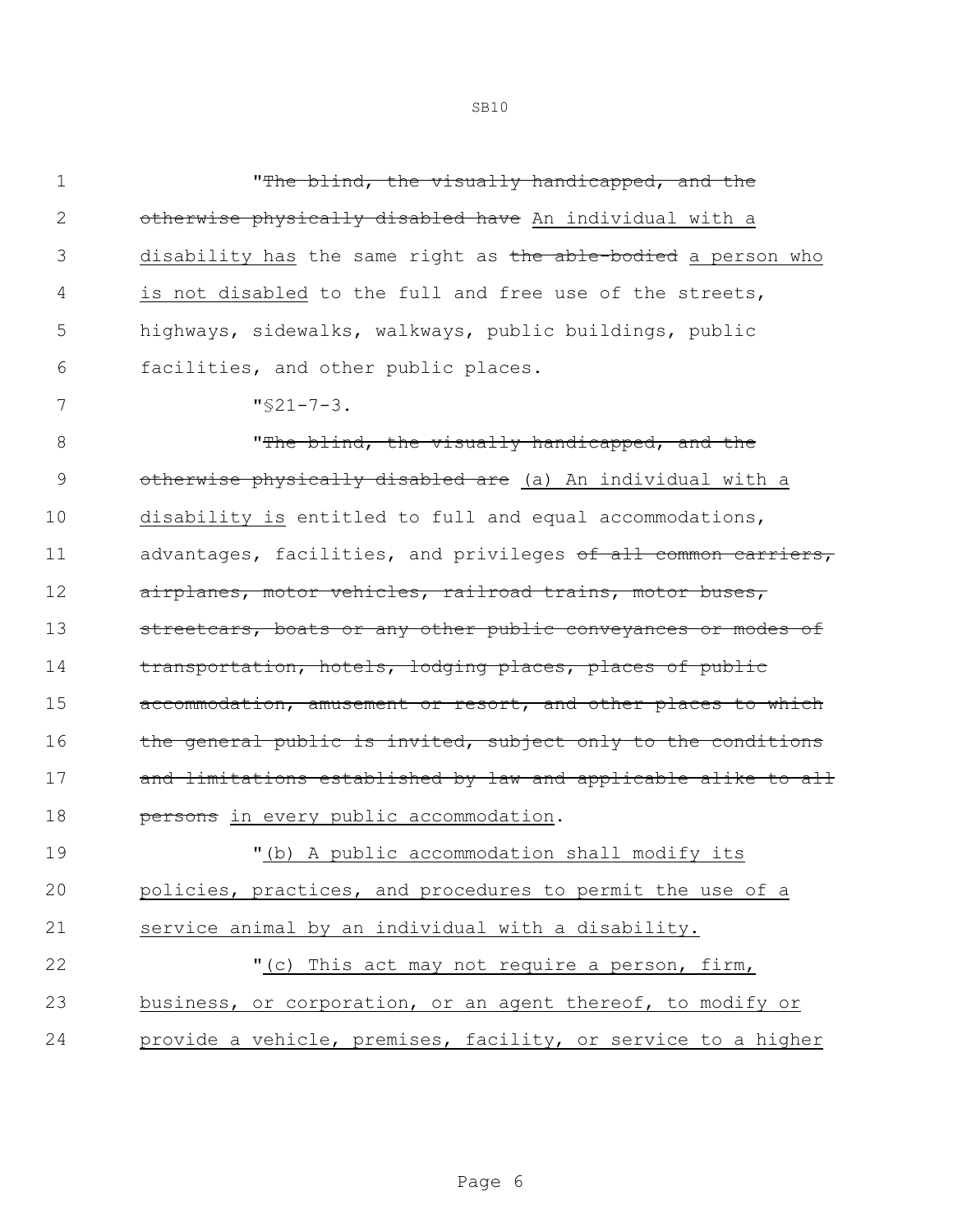| $\mathbf 1$    | "The blind, the visually handicapped, and the                  |
|----------------|----------------------------------------------------------------|
| $\mathbf{2}$   | otherwise physically disabled have An individual with a        |
| 3              | disability has the same right as the able-bodied a person who  |
| 4              | is not disabled to the full and free use of the streets,       |
| 5              | highways, sidewalks, walkways, public buildings, public        |
| 6              | facilities, and other public places.                           |
| 7              | $"$ \$21-7-3.                                                  |
| $8\,$          | "The blind, the visually handicapped, and the                  |
| $\overline{9}$ | otherwise physically disabled are (a) An individual with a     |
| 10             | disability is entitled to full and equal accommodations,       |
| 11             | advantages, facilities, and privileges of all common carriers, |
| 12             | airplanes, motor vehicles, railroad trains, motor buses,       |
| 13             | streetcars, boats or any other public conveyances or modes of  |
| 14             | transportation, hotels, lodging places, places of public       |
| 15             | accommodation, amusement or resort, and other places to which  |
| 16             | the general public is invited, subject only to the conditions  |
| 17             | and limitations established by law and applicable alike to all |
| 18             | persons in every public accommodation.                         |
| 19             | "(b) A public accommodation shall modify its                   |
| 20             | policies, practices, and procedures to permit the use of a     |
| 21             | service animal by an individual with a disability.             |
| 22             | "(c) This act may not require a person, firm,                  |
| 23             | business, or corporation, or an agent thereof, to modify or    |
| 24             | provide a vehicle, premises, facility, or service to a higher  |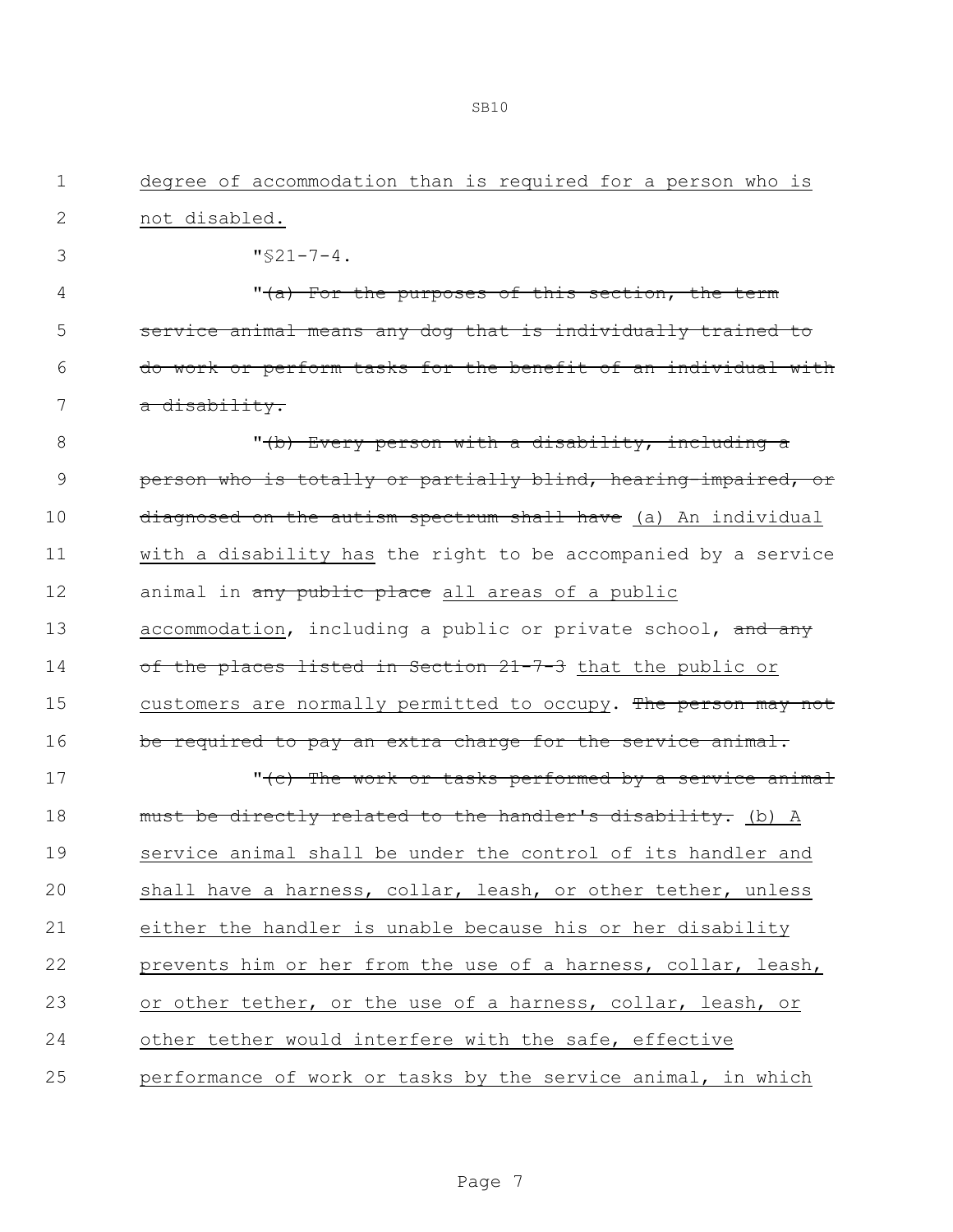1 degree of accommodation than is required for a person who is

| $\mathbf{2}$  | not disabled.                                                    |
|---------------|------------------------------------------------------------------|
| 3             | $"$ \$21-7-4.                                                    |
| 4             | "(a) For the purposes of this section, the term                  |
| 5             | service animal means any dog that is individually trained to     |
| 6             | do work or perform tasks for the benefit of an individual with   |
| 7             | a disability.                                                    |
| 8             | "(b) Every person with a disability, including a                 |
| $\mathcal{G}$ | person who is totally or partially blind, hearing-impaired, or   |
| 10            | diagnosed on the autism spectrum shall have (a) An individual    |
| 11            | with a disability has the right to be accompanied by a service   |
| 12            | animal in any public place all areas of a public                 |
| 13            | accommodation, including a public or private school, and any     |
| 14            | of the places listed in Section 21-7-3 that the public or        |
| 15            | customers are normally permitted to occupy. The person may not   |
| 16            | be required to pay an extra charge for the service animal.       |
| 17            | " <del>(c) The work or tasks performed by a service animal</del> |
| 18            | must be directly related to the handler's disability. (b) A      |
| 19            | service animal shall be under the control of its handler and     |
| 20            | shall have a harness, collar, leash, or other tether, unless     |
| 21            | either the handler is unable because his or her disability       |
| 22            | prevents him or her from the use of a harness, collar, leash,    |
| 23            | or other tether, or the use of a harness, collar, leash, or      |
| 24            | other tether would interfere with the safe, effective            |
| 25            | performance of work or tasks by the service animal, in which     |
|               |                                                                  |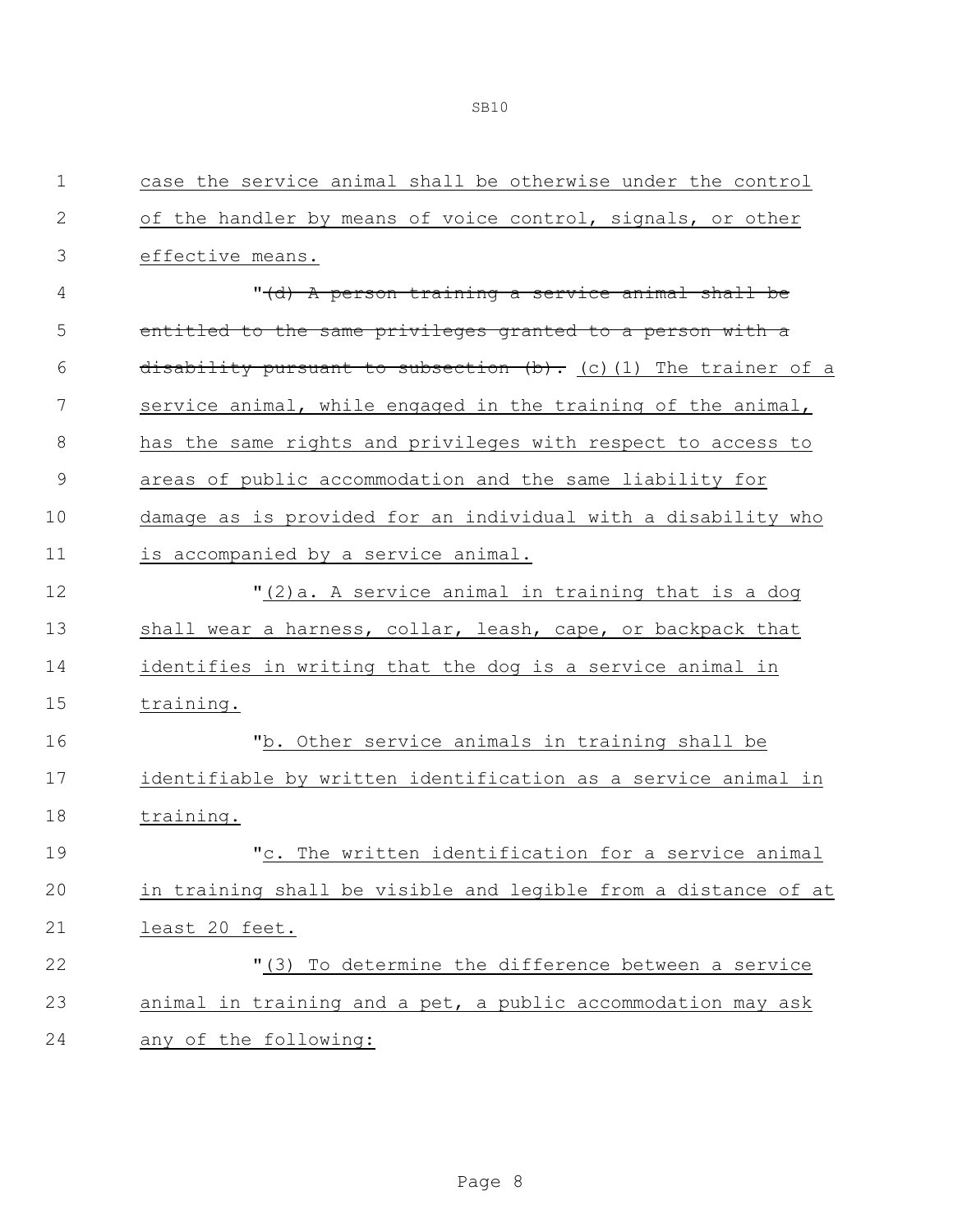| 1           | case the service animal shall be otherwise under the control    |
|-------------|-----------------------------------------------------------------|
| 2           | of the handler by means of voice control, signals, or other     |
| 3           | effective means.                                                |
| 4           | "(d) A person training a service animal shall be                |
| 5           | entitled to the same privileges granted to a person with a      |
| 6           | disability pursuant to subsection (b). (c) (1) The trainer of a |
| 7           | service animal, while engaged in the training of the animal,    |
| 8           | has the same rights and privileges with respect to access to    |
| $\mathsf 9$ | areas of public accommodation and the same liability for        |
| 10          | damage as is provided for an individual with a disability who   |
| 11          | is accompanied by a service animal.                             |
| 12          | "(2) a. A service animal in training that is a dog              |
| 13          | shall wear a harness, collar, leash, cape, or backpack that     |
| 14          | identifies in writing that the dog is a service animal in       |
| 15          | training.                                                       |
| 16          | "b. Other service animals in training shall be                  |
| 17          | identifiable by written identification as a service animal in   |
| 18          | training.                                                       |
| 19          | "c. The written identification for a service animal             |
| 20          | in training shall be visible and legible from a distance of at  |
| 21          | least 20 feet.                                                  |
| 22          | "(3) To determine the difference between a service              |
| 23          | animal in training and a pet, a public accommodation may ask    |
| 24          | any of the following:                                           |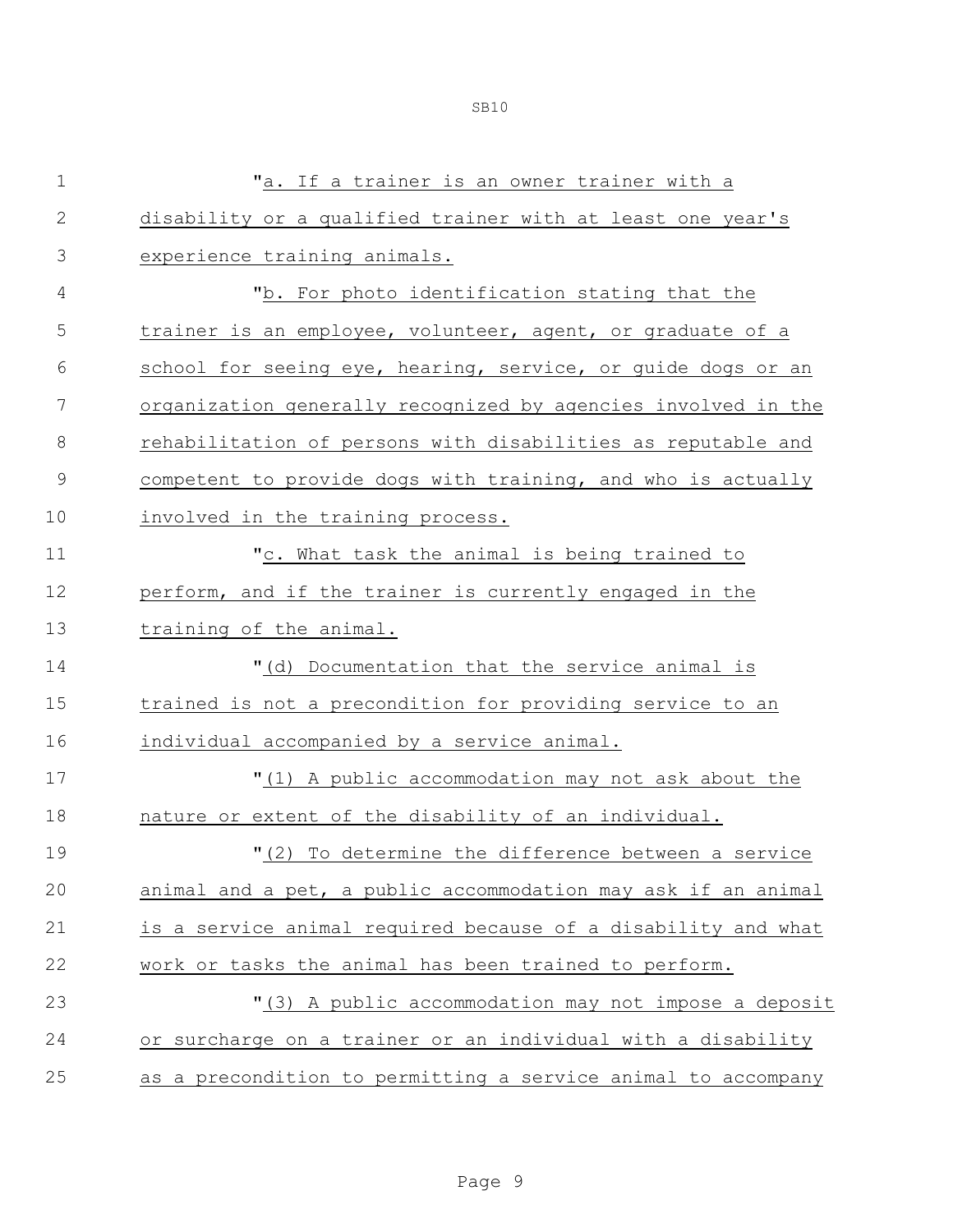| $\mathbf 1$    | "a. If a trainer is an owner trainer with a                   |
|----------------|---------------------------------------------------------------|
| $\mathbf{2}$   | disability or a qualified trainer with at least one year's    |
| 3              | experience training animals.                                  |
| $\overline{4}$ | "b. For photo identification stating that the                 |
| 5              | trainer is an employee, volunteer, agent, or graduate of a    |
| 6              | school for seeing eye, hearing, service, or guide dogs or an  |
| 7              | organization generally recognized by agencies involved in the |
| $\,8\,$        | rehabilitation of persons with disabilities as reputable and  |
| $\mathsf 9$    | competent to provide dogs with training, and who is actually  |
| 10             | involved in the training process.                             |
| 11             | "c. What task the animal is being trained to                  |
| 12             | perform, and if the trainer is currently engaged in the       |
| 13             | training of the animal.                                       |
| 14             | "(d) Documentation that the service animal is                 |
| 15             | trained is not a precondition for providing service to an     |
| 16             | individual accompanied by a service animal.                   |
| 17             | "(1) A public accommodation may not ask about the             |
| 18             | nature or extent of the disability of an individual.          |
| 19             | "(2) To determine the difference between a service            |
| 20             | animal and a pet, a public accommodation may ask if an animal |
| 21             | is a service animal required because of a disability and what |
| 22             | work or tasks the animal has been trained to perform.         |
| 23             | "(3) A public accommodation may not impose a deposit          |
| 24             | or surcharge on a trainer or an individual with a disability  |
| 25             | as a precondition to permitting a service animal to accompany |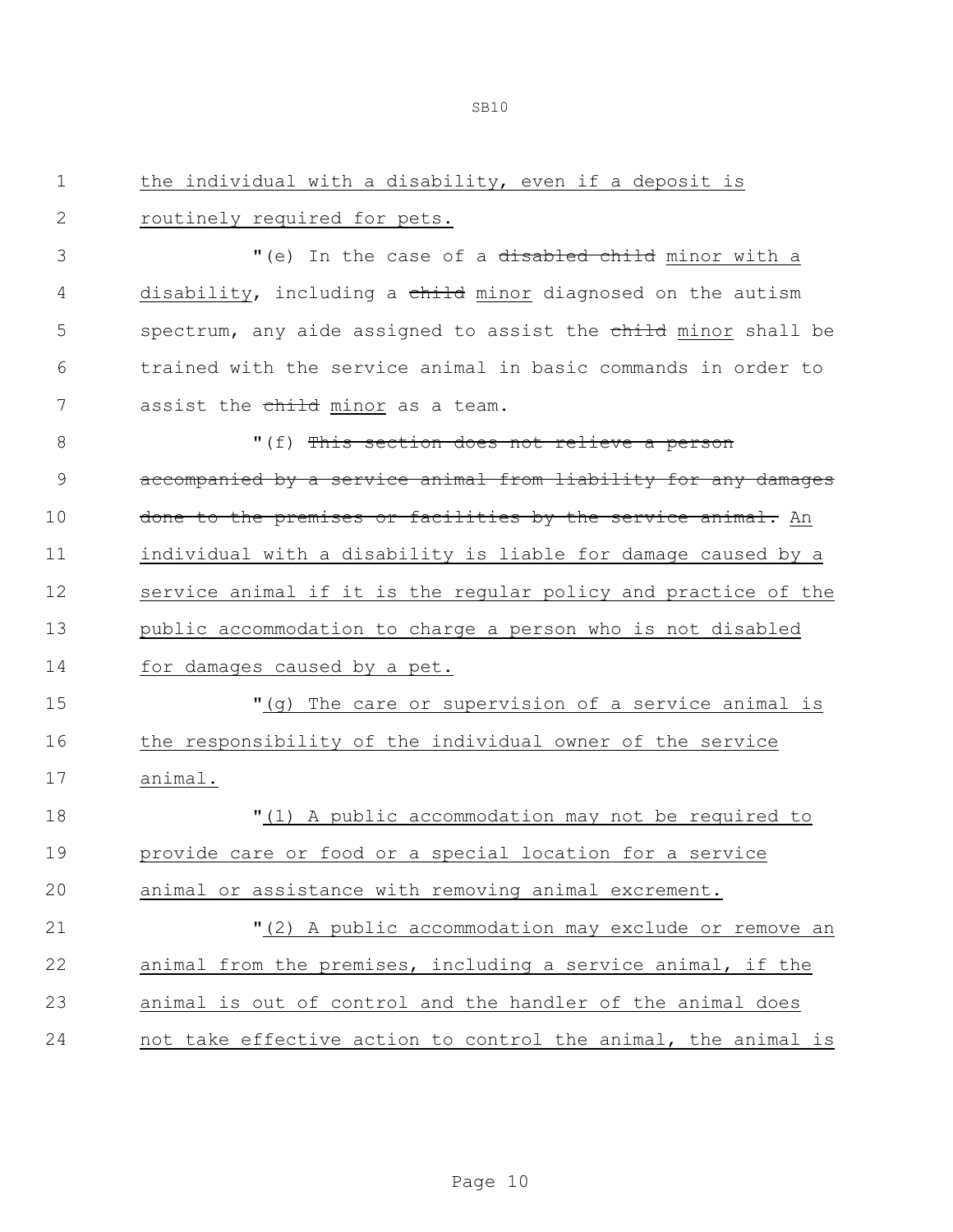1 the individual with a disability, even if a deposit is

2 routinely required for pets.

| 3             | "(e) In the case of a disabled child minor with a              |
|---------------|----------------------------------------------------------------|
| 4             | disability, including a child minor diagnosed on the autism    |
| 5             | spectrum, any aide assigned to assist the child minor shall be |
| 6             | trained with the service animal in basic commands in order to  |
| 7             | assist the child minor as a team.                              |
| $8\,$         | "(f) This section does not relieve a person                    |
| $\mathcal{G}$ | accompanied by a service animal from liability for any damages |
| 10            | done to the premises or facilities by the service animal. An   |
| 11            | individual with a disability is liable for damage caused by a  |
| 12            | service animal if it is the regular policy and practice of the |
| 13            | public accommodation to charge a person who is not disabled    |
| 14            | for damages caused by a pet.                                   |
| 15            | "(g) The care or supervision of a service animal is            |
| 16            | the responsibility of the individual owner of the service      |
| 17            | animal.                                                        |
| 18            | "(1) A public accommodation may not be required to             |
| 19            | provide care or food or a special location for a service       |
| 20            | animal or assistance with removing animal excrement.           |
| 21            | "(2) A public accommodation may exclude or remove an           |
| 22            | animal from the premises, including a service animal, if the   |
| 23            | animal is out of control and the handler of the animal does    |
| 24            | not take effective action to control the animal, the animal is |
|               |                                                                |
|               |                                                                |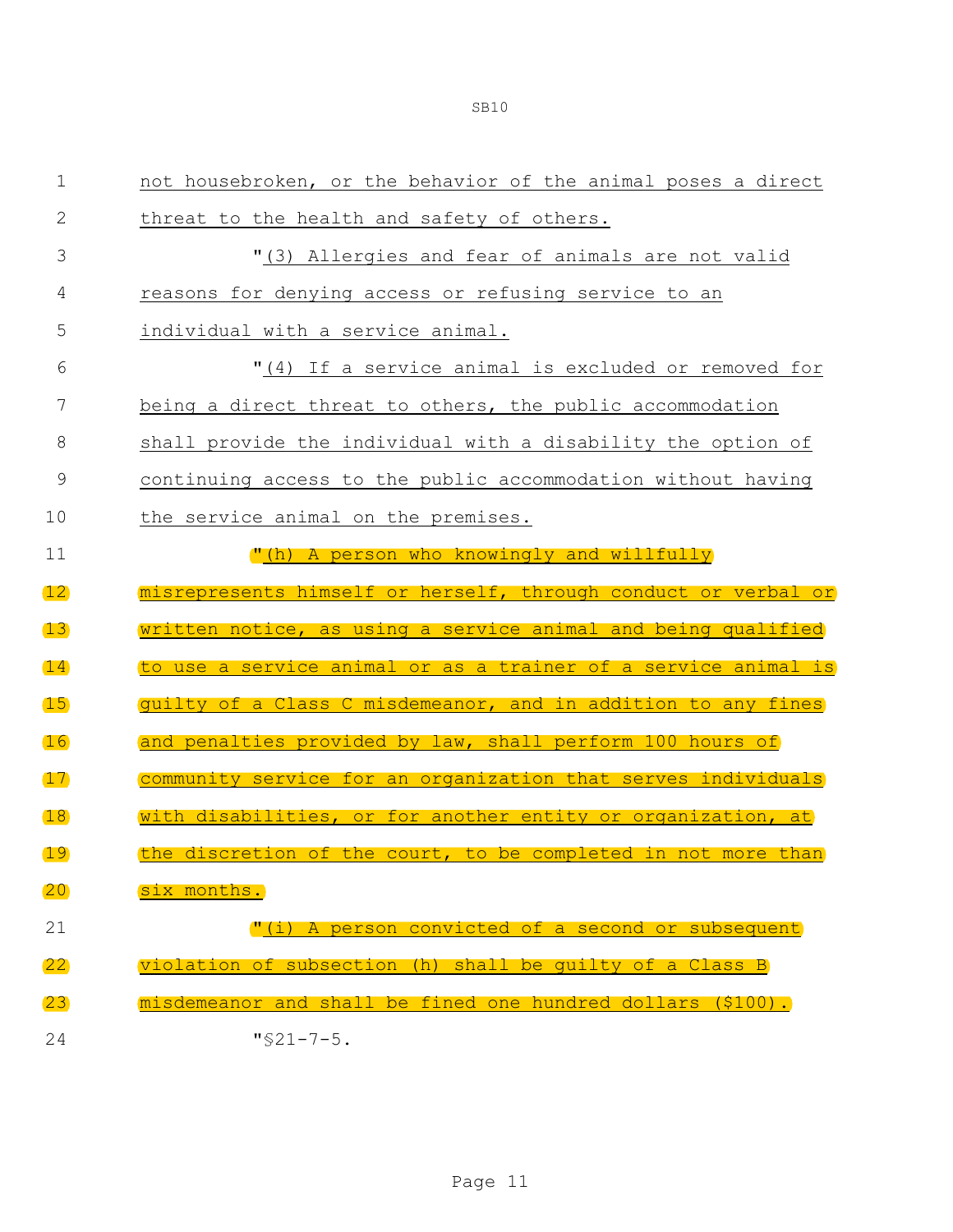| $\mathbf 1$       | not housebroken, or the behavior of the animal poses a direct             |
|-------------------|---------------------------------------------------------------------------|
| 2                 | threat to the health and safety of others.                                |
| 3                 | "(3) Allergies and fear of animals are not valid                          |
| 4                 | reasons for denying access or refusing service to an                      |
| 5                 | individual with a service animal.                                         |
| 6                 | "(4) If a service animal is excluded or removed for                       |
| 7                 | being a direct threat to others, the public accommodation                 |
| 8                 | shall provide the individual with a disability the option of              |
| 9                 | continuing access to the public accommodation without having              |
| 10                | the service animal on the premises.                                       |
| 11                | "(h) A person who knowingly and willfully                                 |
| $\mathbf{12}$     |                                                                           |
|                   | misrepresents himself or herself, through conduct or verbal or            |
| 13                | written notice, as using a service animal and being qualified             |
| $\left(14\right)$ | to use a service animal or as a trainer of a service animal is            |
| $\overline{15}$   | guilty of a Class C misdemeanor, and in addition to any fines             |
| 16                | and penalties provided by law, shall perform 100 hours of                 |
| $\left(17\right)$ | community service for an organization that serves individuals             |
| 18                | with disabilities, or for another entity or organization, at              |
| 19                | the discretion of the court, to be completed in not more than             |
| 20                | six months.                                                               |
| 21                | A person convicted of a second or subsequent<br>$\mathbf{''}(\mathbf{i})$ |
| $ 22\rangle$      | violation of subsection (h) shall be quilty of a Class B                  |
| (23)              | misdemeanor and shall be fined one hundred dollars (\$100).               |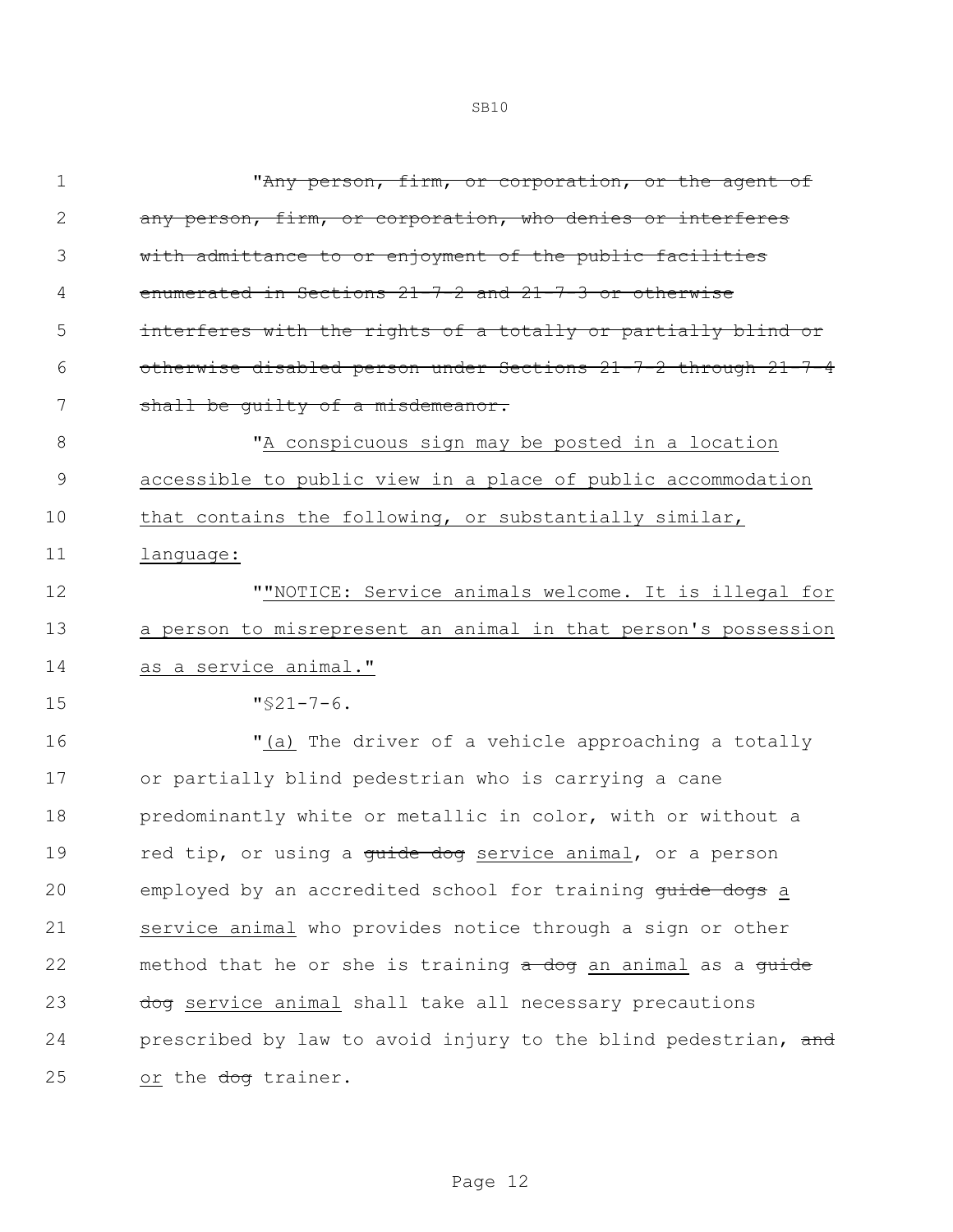| $\mathbf 1$   | "Any person, firm, or corporation, or the agent of             |
|---------------|----------------------------------------------------------------|
| 2             | any person, firm, or corporation, who denies or interferes     |
| 3             | with admittance to or enjoyment of the public facilities       |
| 4             | enumerated in Sections 21-7-2 and 21-7-3 or otherwise          |
| 5             | interferes with the rights of a totally or partially blind or  |
| 6             | otherwise disabled person under Sections 21-7-2 through 21-7-4 |
| 7             | shall be quilty of a misdemeanor.                              |
| 8             | "A conspicuous sign may be posted in a location                |
| $\mathcal{G}$ | accessible to public view in a place of public accommodation   |
| 10            | that contains the following, or substantially similar,         |
| 11            | language:                                                      |
| 12            | ""NOTICE: Service animals welcome. It is illegal for           |
| 13            | a person to misrepresent an animal in that person's possession |
| 14            | as a service animal."                                          |
| 15            | $\sqrt{521-7-6}$ .                                             |
| 16            | "(a) The driver of a vehicle approaching a totally             |
| 17            | or partially blind pedestrian who is carrying a cane           |
| 18            | predominantly white or metallic in color, with or without a    |
| 19            | red tip, or using a guide dog service animal, or a person      |
| 20            | employed by an accredited school for training quide dogs a     |
| 21            | service animal who provides notice through a sign or other     |
| 22            | method that he or she is training a dog an animal as a guide   |
| 23            | dog service animal shall take all necessary precautions        |
| 24            | prescribed by law to avoid injury to the blind pedestrian, and |
| 25            | or the dog trainer.                                            |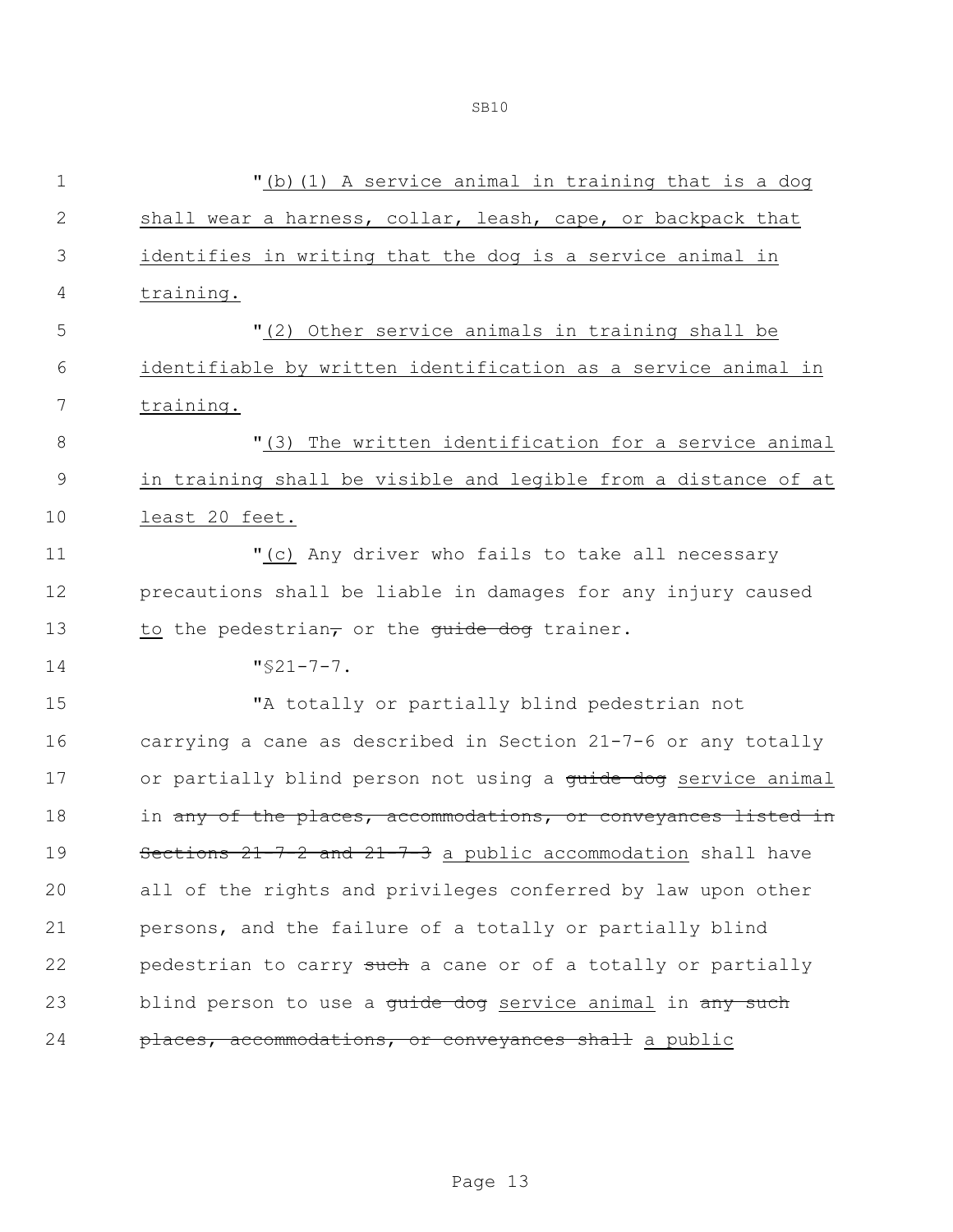| $\mathbf 1$    | "(b) (1) A service animal in training that is a dog                   |
|----------------|-----------------------------------------------------------------------|
| $\mathbf 2$    | shall wear a harness, collar, leash, cape, or backpack that           |
| $\mathfrak{Z}$ | identifies in writing that the dog is a service animal in             |
| 4              | training.                                                             |
| 5              | "(2) Other service animals in training shall be                       |
| 6              | identifiable by written identification as a service animal in         |
| 7              | training.                                                             |
| $\,8\,$        | "(3) The written identification for a service animal                  |
| $\mathcal{G}$  | in training shall be visible and legible from a distance of at        |
| 10             | least 20 feet.                                                        |
| 11             | "(c) Any driver who fails to take all necessary                       |
| 12             | precautions shall be liable in damages for any injury caused          |
| 13             | to the pedestrian, or the guide dog trainer.                          |
| 14             | $"$ \$21-7-7.                                                         |
| 15             | "A totally or partially blind pedestrian not                          |
| 16             | carrying a cane as described in Section 21-7-6 or any totally         |
| 17             | or partially blind person not using a guide dog service animal        |
| 18             | in any of the places, accommodations, or conveyances listed in        |
| 19             | Sections 21-7-2 and 21-7-3 a public accommodation shall have          |
| 20             | all of the rights and privileges conferred by law upon other          |
| 21             | persons, and the failure of a totally or partially blind              |
| 22             | pedestrian to carry such a cane or of a totally or partially          |
| 23             | blind person to use a <del>quide dog</del> service animal in any such |
| 24             | places, accommodations, or conveyances shall a public                 |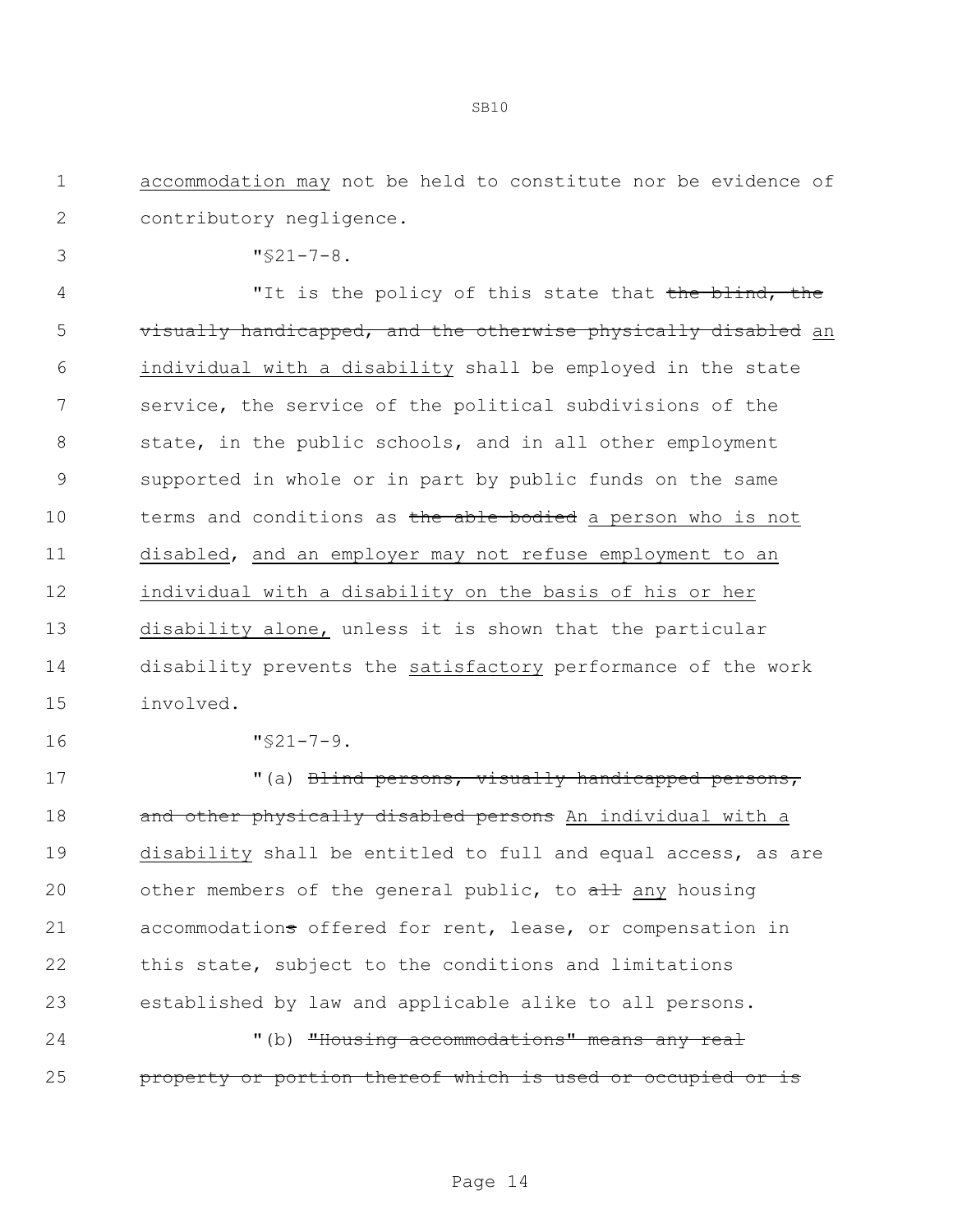- 1 accommodation may not be held to constitute nor be evidence of 2 contributory negligence.
- 3 "§21-7-8.

4 The "It is the policy of this state that the blind, the 5 visually handicapped, and the otherwise physically disabled an individual with a disability shall be employed in the state service, the service of the political subdivisions of the 8 state, in the public schools, and in all other employment supported in whole or in part by public funds on the same 10 terms and conditions as the able-bodied a person who is not disabled, and an employer may not refuse employment to an individual with a disability on the basis of his or her disability alone, unless it is shown that the particular disability prevents the satisfactory performance of the work involved.

16 "§21-7-9.

17 (a) Blind persons, visually handicapped persons, 18 and other physically disabled persons An individual with a 19 disability shall be entitled to full and equal access, as are 20 other members of the general public, to all any housing 21 accommodations offered for rent, lease, or compensation in 22 this state, subject to the conditions and limitations 23 established by law and applicable alike to all persons.

24 "(b) <del>"Housing accommodations" means any real</del> 25 property or portion thereof which is used or occupied or is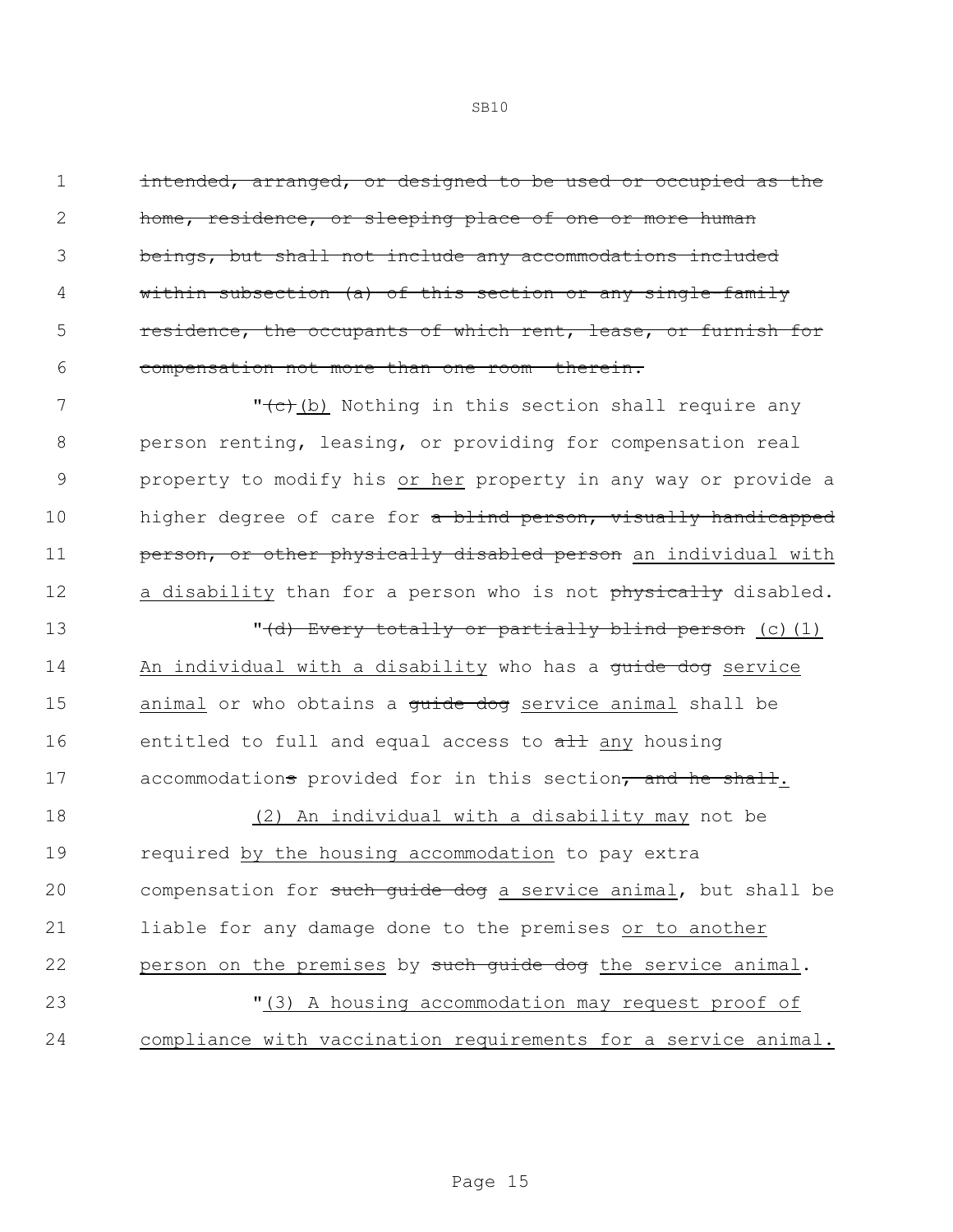intended, arranged, or designed to be used or occupied as the home, residence, or sleeping place of one or more human beings, but shall not include any accommodations included within subsection (a) of this section or any single-family **residence, the occupants of which rent, lease, or furnish for** compensation not more than one room therein.

7 The state of the Nothing in this section shall require any 8 person renting, leasing, or providing for compensation real 9 property to modify his or her property in any way or provide a 10 higher degree of care for a blind person, visually handicapped 11 **person, or other physically disabled person** an individual with 12 a disability than for a person who is not physically disabled.

13 **13** The Most of the United States of the United States (c) (1) 14 An individual with a disability who has a guide dog service 15 animal or who obtains a quide dog service animal shall be 16 entitled to full and equal access to all any housing 17 accommodations provided for in this section, and he shall.

 (2) An individual with a disability may not be required by the housing accommodation to pay extra 20 compensation for such quide dog a service animal, but shall be liable for any damage done to the premises or to another 22 person on the premises by such quide dog the service animal. "(3) A housing accommodation may request proof of compliance with vaccination requirements for a service animal.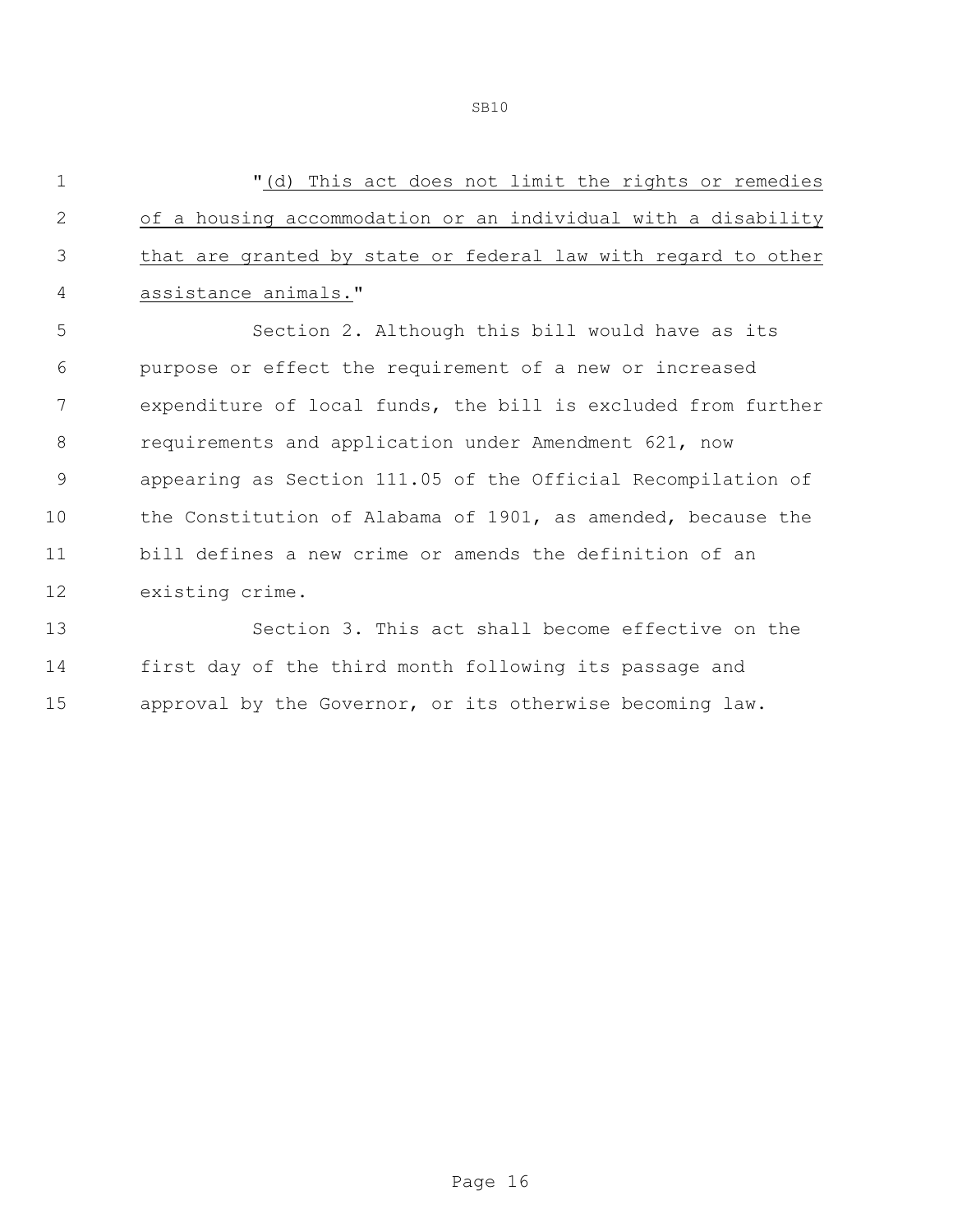"(d) This act does not limit the rights or remedies of a housing accommodation or an individual with a disability that are granted by state or federal law with regard to other assistance animals." Section 2. Although this bill would have as its purpose or effect the requirement of a new or increased expenditure of local funds, the bill is excluded from further requirements and application under Amendment 621, now appearing as Section 111.05 of the Official Recompilation of the Constitution of Alabama of 1901, as amended, because the bill defines a new crime or amends the definition of an existing crime. Section 3. This act shall become effective on the

 first day of the third month following its passage and approval by the Governor, or its otherwise becoming law.